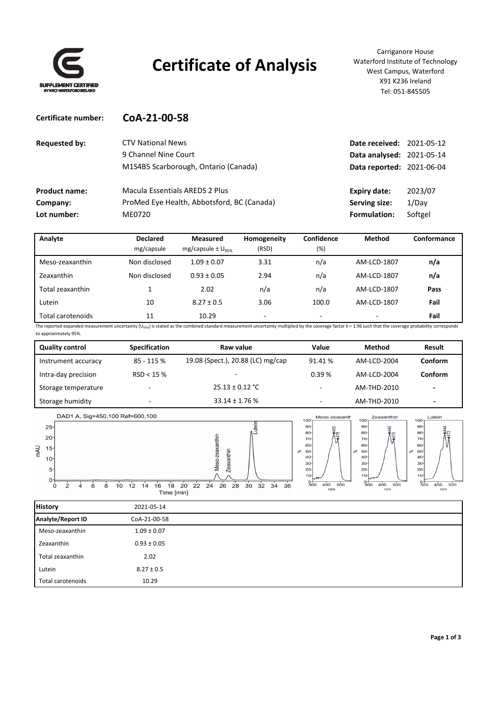

**Certificate number: CoA‐21‐00‐58**

# **Certificate of Analysis**

Carriganore House Waterford Institute of Technology West Campus, Waterford X91 K236 Ireland Tel: 051‐845505

| <b>CTV National News</b>                   |                     |                                                                                                   |
|--------------------------------------------|---------------------|---------------------------------------------------------------------------------------------------|
| 9 Channel Nine Court                       |                     |                                                                                                   |
| M1S4B5 Scarborough, Ontario (Canada)       |                     |                                                                                                   |
| Macula Essentials AREDS 2 Plus             | Expiry date:        | 2023/07                                                                                           |
| ProMed Eye Health, Abbotsford, BC (Canada) | Serving size:       | 1/Dav                                                                                             |
| ME0720                                     | <b>Formulation:</b> | Softgel                                                                                           |
|                                            |                     | <b>Date received: 2021-05-12</b><br>Data analysed: 2021-05-14<br><b>Data reported: 2021-06-04</b> |

| Analyte           | <b>Declared</b> | <b>Measured</b>                   | Homogeneity              | Confidence               | Method      | Conformance |
|-------------------|-----------------|-----------------------------------|--------------------------|--------------------------|-------------|-------------|
|                   | mg/capsule      | mg/capsule $\pm$ U <sub>95%</sub> | (RSD)                    | (%)                      |             |             |
| Meso-zeaxanthin   | Non disclosed   | $1.09 \pm 0.07$                   | 3.31                     | n/a                      | AM-LCD-1807 | n/a         |
| Zeaxanthin        | Non disclosed   | $0.93 \pm 0.05$                   | 2.94                     | n/a                      | AM-LCD-1807 | n/a         |
| Total zeaxanthin  |                 | 2.02                              | n/a                      | n/a                      | AM-LCD-1807 | Pass        |
| Lutein            | 10              | $8.27 \pm 0.5$                    | 3.06                     | 100.0                    | AM-LCD-1807 | Fail        |
| Total carotenoids | 11              | 10.29                             | $\overline{\phantom{0}}$ | $\overline{\phantom{0}}$ |             | Fail        |

The reported expanded measurement uncertainty (U<sub>95%</sub>) is stated as the combined standard measurement uncertainty multiplied by the coverage factor k = 1.96 such that the coverage probability corresponds to approximately 95%.

| <b>Quality control</b> | Specification | Raw value                         | Value   | <b>Method</b> | Result  |
|------------------------|---------------|-----------------------------------|---------|---------------|---------|
| Instrument accuracy    | $85 - 115%$   | 19.08 (Spect.), 20.88 (LC) mg/cap | 91.41 % | AM-LCD-2004   | Conform |
| Intra-day precision    | RSD < 15%     | -                                 | 0.39%   | AM-LCD-2004   | Conform |
| Storage temperature    | ۰             | $25.13 \pm 0.12$ °C               | -       | AM-THD-2010   | -       |
| Storage humidity       | ٠             | $33.14 \pm 1.76$ %                | ۰       | AM-THD-2010   | -       |



| <b>History</b>    | 2021-05-14      |
|-------------------|-----------------|
| Analyte/Report ID | CoA-21-00-58    |
| Meso-zeaxanthin   | $1.09 \pm 0.07$ |
| Zeaxanthin        | $0.93 \pm 0.05$ |
| Total zeaxanthin  | 2.02            |
| Lutein            | $8.27 \pm 0.5$  |
| Total carotenoids | 10.29           |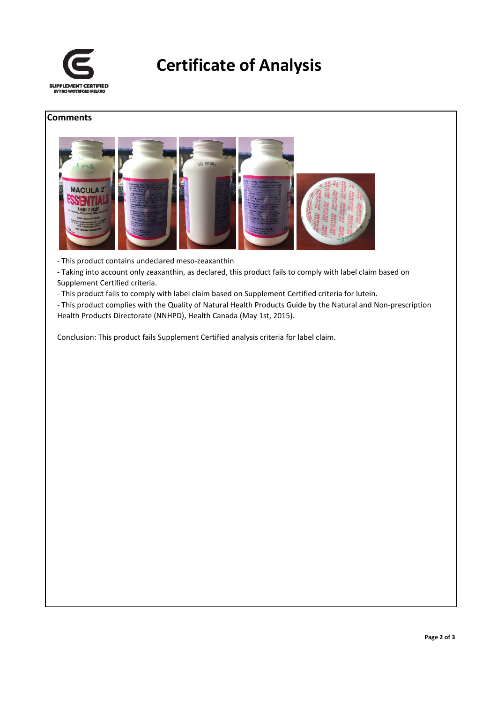

### **Certificate of Analysis**

#### **Comments**



‐ This product contains undeclared meso‐zeaxanthin

‐ Taking into account only zeaxanthin, as declared, this product fails to comply with label claim based on Supplement Certified criteria.

‐ This product fails to comply with label claim based on Supplement Certified criteria for lutein.

‐ This product complies with the Quality of Natural Health Products Guide by the Natural and Non‐prescription Health Products Directorate (NNHPD), Health Canada (May 1st, 2015).

Conclusion: This product fails Supplement Certified analysis criteria for label claim.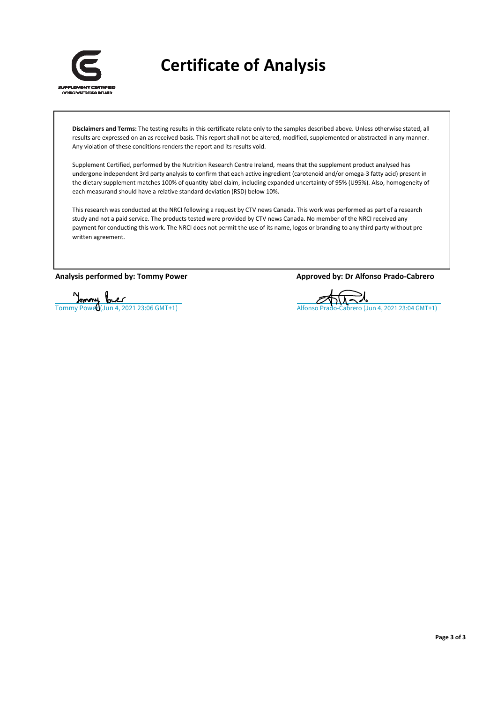

**Certificate of Analysis**

**Disclaimers and Terms:** The testing results in this certificate relate only to the samples described above. Unless otherwise stated, all results are expressed on an as received basis. This report shall not be altered, modified, supplemented or abstracted in any manner. Any violation of these conditions renders the report and its results void.

Supplement Certified, performed by the Nutrition Research Centre Ireland, means that the supplement product analysed has undergone independent 3rd party analysis to confirm that each active ingredient (carotenoid and/or omega‐3 fatty acid) present in the dietary supplement matches 100% of quantity label claim, including expanded uncertainty of 95% (U95%). Also, homogeneity of each measurand should have a relative standard deviation (RSD) below 10%.

This research was conducted at the NRCI following a request by CTV news Canada. This work was performed as part of a research study and not a paid service. The products tested were provided by CTV news Canada. No member of the NRCI received any payment for conducting this work. The NRCI does not permit the use of its name, logos or branding to any third party without prewritten agreement.

**Analysis performed by: Tommy Power Approved by: Dr Alfonso Prado‐Cabrero**